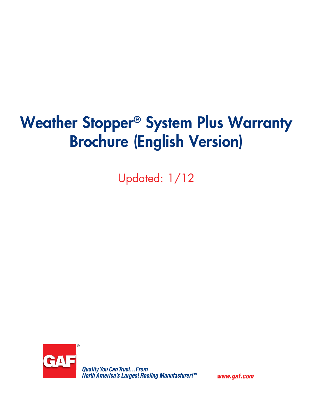# **Weather Stopper® System Plus Warranty Brochure (English Version)**

Updated: 1/12



**Quality You Can Trust...From<br>North America's Largest Roofing Manufacturer!"** 

*www.gaf.com*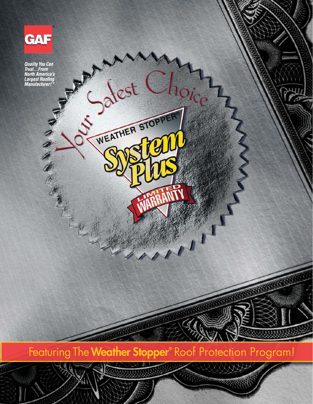

*Quality You Can<br>Trust...From<br>North America's<br>Largest Roofing<br>Manufacturer!"* 

Featuring The **Weather Stopper®** Roof Protection Program!

SCALL CHE

WEATHER STOPPER

 $\mathbf{R}$ 

Whe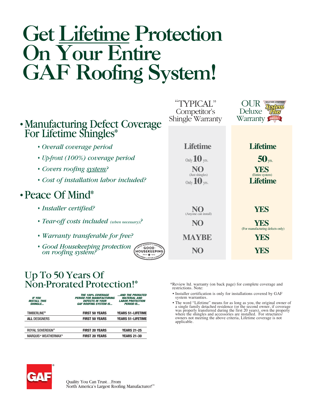# Get Lifetime Protection On Your Entire GAF Roofing System!

|                                                              | "TYPICAL"<br>Competitor's<br>Shingle Warranty | Deluxe<br>Warranty <b>1</b>             |
|--------------------------------------------------------------|-----------------------------------------------|-----------------------------------------|
| • Manufacturing Defect Coverage<br>For Lifetime Shingles*    |                                               |                                         |
| · Overall coverage period                                    | <b>Lifetime</b>                               | <b>Lifetime</b>                         |
| • Up-front (100%) coverage period                            | Only $10$ yrs.                                | 50 <sub>yrs.</sub>                      |
| • Covers roofing system?                                     | (Just shingles)                               | YES                                     |
| · Cost of installation labor included?                       | Only $10$ yrs.                                | (Entire system)<br><b>Lifetime</b>      |
| • Peace Of Mind <sup>*</sup>                                 |                                               |                                         |
| • Installer certified?                                       | (Anyone can install)                          | <b>YES</b>                              |
| • Tear-off costs included (when necessary)?                  | NO                                            | YES<br>(For manufacturing defects only) |
| • Warranty transferable for free?                            | <b>MAYBE</b>                                  | YES                                     |
| • Good Housekeeping protection<br>on roofing system?<br>GOOD | NO                                            | YES                                     |

# Up To 50 Years Of Non-Prorated Protection!\*

| <b>IF YOU</b><br><b>INSTALL THIS</b><br><b>SHINGLE</b> | <i><b>THE 100% COVERAGE</b></i><br><b>PERIOD FOR MANUFACTURING</b><br><b>DEFECTS IN YOUR</b><br><b>GAF ROOFING SYSTEM IS</b> | AND THE PRORATED<br><b>MATERIAL AND</b><br><b>LABOR PROTECTION</b><br><b>PERIOD IS</b> |
|--------------------------------------------------------|------------------------------------------------------------------------------------------------------------------------------|----------------------------------------------------------------------------------------|
| <b>TIMBERLINE®</b>                                     | <b>FIRST 50 YEARS</b>                                                                                                        | <b>YEARS 51-LIFETIME</b>                                                               |
| <b>ALL DESIGNERS</b>                                   | <b>FIRST 50 YEARS</b>                                                                                                        | <b>YEARS 51-LIFETIME</b>                                                               |
|                                                        |                                                                                                                              |                                                                                        |
| ROYAL SOVEREIGN®                                       | <b>FIRST 20 YEARS</b>                                                                                                        | <b>YEARS 21-25</b>                                                                     |
| MARQUIS® WEATHERMAX®                                   | <b>FIRST 20 YEARS</b>                                                                                                        | <b>YEARS 21-30</b>                                                                     |

\* Review ltd. warranty (on back page) for complete coverage and restrictions. Note:

- Installer certification is only for installations covered by GAF system warranties.
- The word "Lifetime" means for as long as you, the original owner of a single family detached residence (or the second owner, if coverage was properly transferred during the first 20 years), own the property where the shingles and accessories are installed. For structures/ owners not meeting the above criteria, Lifetime coverage is not applicable.

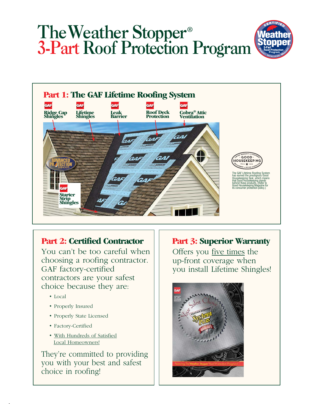# The Weather Stopper® 3-Part Roof Protection Program



# **Part 2: Certified Contractor | Part 3: Superior Warranty**

You can't be too careful when choosing a roofing contractor. GAF factory-certified contractors are your safest choice because they are:

- Local
- Properly Insured
- Properly State Licensed
- Factory-Certified
- With Hundreds of Satisfied Local Homeowners!

They're committed to providing you with your best and safest choice in roofing!

**Program**

Offers you five times the up-front coverage when you install Lifetime Shingles!

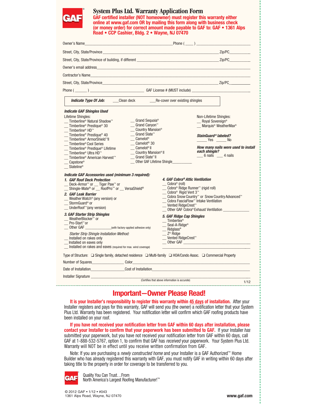

### **System Plus Ltd. Warranty Application Form**

 **GAF certified installer (NOT homeowner) must register this warranty either online at www.gaf.com OR by mailing this form along with business check (or money order) for correct amount made payable to GAF to: GAF • 1361 Alps** Road • CCP Cashier, Bldg. 2 • Wayne, NJ 07470

| Street, City, State/Province <b>Example 2006</b> 2012 12:00:00 12:00:00 20:00:00 20:00:00 20:00:00 20:00:00 20:00:00                                                                                                                                                                                                                                                                                                                                                                                                                                                                                                                                                                                                                                                                   |                                                                                                                                                                                                                                                                                                                                                                                                                                                                            |
|----------------------------------------------------------------------------------------------------------------------------------------------------------------------------------------------------------------------------------------------------------------------------------------------------------------------------------------------------------------------------------------------------------------------------------------------------------------------------------------------------------------------------------------------------------------------------------------------------------------------------------------------------------------------------------------------------------------------------------------------------------------------------------------|----------------------------------------------------------------------------------------------------------------------------------------------------------------------------------------------------------------------------------------------------------------------------------------------------------------------------------------------------------------------------------------------------------------------------------------------------------------------------|
|                                                                                                                                                                                                                                                                                                                                                                                                                                                                                                                                                                                                                                                                                                                                                                                        |                                                                                                                                                                                                                                                                                                                                                                                                                                                                            |
| Owner's email address experience of the contract of the contract of the contract of the contract of the contract of the contract of the contract of the contract of the contract of the contract of the contract of the contra                                                                                                                                                                                                                                                                                                                                                                                                                                                                                                                                                         |                                                                                                                                                                                                                                                                                                                                                                                                                                                                            |
|                                                                                                                                                                                                                                                                                                                                                                                                                                                                                                                                                                                                                                                                                                                                                                                        |                                                                                                                                                                                                                                                                                                                                                                                                                                                                            |
|                                                                                                                                                                                                                                                                                                                                                                                                                                                                                                                                                                                                                                                                                                                                                                                        |                                                                                                                                                                                                                                                                                                                                                                                                                                                                            |
|                                                                                                                                                                                                                                                                                                                                                                                                                                                                                                                                                                                                                                                                                                                                                                                        |                                                                                                                                                                                                                                                                                                                                                                                                                                                                            |
|                                                                                                                                                                                                                                                                                                                                                                                                                                                                                                                                                                                                                                                                                                                                                                                        |                                                                                                                                                                                                                                                                                                                                                                                                                                                                            |
| <b>Indicate GAF Shingles Used</b><br>Lifetime Shingles:<br>$\equiv$ Grand Sequoia <sup>®</sup><br><b>__ Timberline® Natural Shadow</b> ™<br><b>_ Grand Canyon™</b><br>_ Timberline <sup>®</sup> Prestique <sup>®</sup> 30<br>_ Country Mansion <sup>®</sup><br>$\equiv$ Timberline® HD <sup>™</sup><br><b>_ Grand Slate™</b><br>_ Timberline® Prestique® 40<br>$\_$ Camelot <sup>®</sup><br><b>__ Timberline® ArmorShield™ll</b><br>$\equiv$ Camelot <sup>®</sup> 30<br>_ Timberline® Cool Series<br>_ Camelot <sup>®</sup> II<br>_ Timberline® Prestique® Lifetime<br>_ Country Mansion <sup>®</sup> II<br><b>Example 11</b> Timberline® Ultra HD™<br><b>_ Grand Slate<sup>™</sup>II</b><br><b>_ Timberline® American Harvest<sup>™</sup></b><br>_Capstone <sup>®</sup><br>Slateline® | Non-Lifetime Shingles:<br>_ Royal Sovereign <sup>®</sup><br>Marquis <sup>®</sup> WeatherMax <sup>®</sup><br>StainGuard® labeled?<br>No Ves No<br>How many nails were used to install<br>each shingle?<br>$-6$ nails $-4$ nails<br>Other GAF Lifetime Shingle                                                                                                                                                                                                               |
| Indicate GAF Accessories used (minimum 3 required):<br>1. GAF Roof Deck Protection<br><b>__ Deck-Armor<sup>™</sup></b> or <b>__ Tiger Paw™</b> or<br><b>__</b> Shingle-Mate <sup>®</sup> or __ RoofPro™ or __ VersaShield®<br>2. GAF Leak Barrier<br>Weather Watch <sup>®</sup> (any version) or<br>_ StormGuard <sup>®</sup> or<br><b>__ UnderRoof™</b> (any version)<br>3. GAF Starter Strip Shingles<br><b>__</b> WeatherBlocker <sup>™</sup> or<br><u></u> Pro-Start <sup>™</sup> or                                                                                                                                                                                                                                                                                               | 4. GAF Cobra® Attic Ventilation<br>Cobra <sup>®</sup> (roll)<br><b><u></u> Cobra<sup>®</sup> Ridge Runner<sup>™</sup> (rigid roll)</b><br><u></u> Cobra <sup>®</sup> Rigid Vent 3™<br>□ Cobra Snow Country™ or Snow Country Advanced™<br>Cobra FasciaFlow™ Intake Ventilation<br><b>__ Vented RidgeCrest™</b><br>__ Other GAF Cobra® Exhaust Ventilation _______________<br>5. GAF Ridge Cap Shingles<br>$\overline{\phantom{a}}$ Timbertex®<br>_Seal-A-Ridge <sup>®</sup> |
| __ Other GAF _________________(with factory-applied adhesive only)<br><b>Starter Strip Shingle Installation Method:</b><br>_ Installed on rakes only<br>_ Installed on eaves only<br>Installed on rakes and eaves (required for max. wind coverage)                                                                                                                                                                                                                                                                                                                                                                                                                                                                                                                                    | _Ridglass®<br><sub>—</sub> Z <sup>®</sup> Ridge<br><u></u> _Vented RidgeCrest <sup>™</sup><br>Other GAF                                                                                                                                                                                                                                                                                                                                                                    |
| Type of Structure: □ Single family, detached residence □ Multi-family □ HOA/Condo Assoc. □ Commercial Property                                                                                                                                                                                                                                                                                                                                                                                                                                                                                                                                                                                                                                                                         |                                                                                                                                                                                                                                                                                                                                                                                                                                                                            |
| Number of Squares <b>Example 2018</b> Color <b>Color Color Color Color Color Color Color Color Color Color Color Color Color Color Color Color Color Color Color Color Color Color Color</b>                                                                                                                                                                                                                                                                                                                                                                                                                                                                                                                                                                                           |                                                                                                                                                                                                                                                                                                                                                                                                                                                                            |
| Date of Installation <b>Cost of Installation</b> Cost of Installation                                                                                                                                                                                                                                                                                                                                                                                                                                                                                                                                                                                                                                                                                                                  |                                                                                                                                                                                                                                                                                                                                                                                                                                                                            |
|                                                                                                                                                                                                                                                                                                                                                                                                                                                                                                                                                                                                                                                                                                                                                                                        | (Certifies that above information is accurate)<br>1/12                                                                                                                                                                                                                                                                                                                                                                                                                     |

### **Important—Owner Please Read!**

**It is your Installer's responsibility to register this warranty within 45 days of installation.** After your Installer registers and pays for this warranty, GAF will send you (the owner) a notification letter that your System Plus Ltd. Warranty has been registered. Your notification letter will confirm which GAF roofing products have been installed on your roof.

**If you have not received your notification letter from GAF within 60 days after installation, please contact your Installer to confirm that your paperwork has been submitted to GAF.** If your Installer has submitted your paperwork, but you have not received your notification letter from GAF within 60 days, call GAF at 1-888-532-5767, option 1, to confirm that GAF has received your paperwork. Your System Plus Ltd. Warranty will NOT be in effect until you receive written confirmation from GAF.

Note: If you are purchasing a *newly constructed home* and your Installer is a GAF Authorized<sup>™</sup> Home Builder who has already registered this warranty with GAF, you must notify GAF in writing within 60 days after taking title to the property in order for coverage to be transferred to you.



Quality You Can Trust…From North America's Largest Roofing Manufacturer!™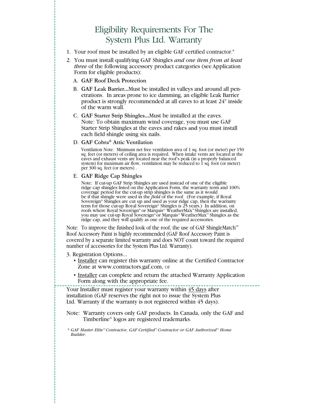# Eligibility Requirements For The System Plus Ltd. Warranty

- 1. Your roof must be installed by an eligible GAF certified contractor.\*
- 2. You must install qualifying GAF Shingles *and one item from at least three* of the following accessory product categories (see Application Form for eligible products):
	- A. **GAF Roof Deck Protection**
	- B. **GAF Leak Barrier...**Must be installed in valleys and around all penetrations. In areas prone to ice damming, an eligible Leak Barrier product is strongly recommended at all eaves to at least 24" inside of the warm wall.

 C. **GAF Starter Strip Shingles...**Must be installed at the eaves. Note: To obtain maximum wind coverage, you must use GAF Starter Strip Shingles at the eaves and rakes **and** you must install each field shingle using six nails.

#### D. **GAF Cobra® Attic Ventilation**

 Ventilation Note: Minimum net free ventilation area of 1 sq. foot (or meter) per 150 sq. feet (or meters) of ceiling area is required. When intake vents are located at the eaves and exhaust vents are located near the roof's peak (in a properly balanced system) for maximum air flow, ventilation may be reduced to 1 sq. foot (or meter) per 300 sq. feet (or meters) .

### E. **GAF Ridge Cap Shingles**

 Note: If cut-up GAF Strip Shingles are used instead of one of the eligible ridge cap shingles listed on the Application Form, the warranty term and 100% coverage period for the cut-up strip shingles is the same as it would be if that shingle were used in the *field* of the roof. (For example, if Royal Sovereign® Shingles are cut up and used as your ridge cap, then the warranty term for those cut-up Royal Sovereign® Shingles is 25 years.) In addition, on roofs where Royal Sovereign® or Marquis® WeatherMax™ Shingles are installed, you may use cut-up Royal Sovereign® or Marquis® WeatherMax™ Shingles as the ridge cap, and they will qualify as one of the required accessories.

Note: To improve the finished look of the roof, the use of GAF ShingleMatch<sup>™</sup> Roof Accessory Paint is highly recommended (GAF Roof Accessory Paint is covered by a separate limited warranty and does NOT count toward the required number of accessories for the System Plus Ltd. Warranty).

- 3. Registration Options...
	- Installer can register this warranty online at the Certified Contractor Zone at www.contractors.gaf.com, or
	- Installer can complete and return the attached Warranty Application Form along with the appropriate fee.

Your Installer must register your warranty within  $45$  days after installation (GAF reserves the right not to issue the System Plus Ltd. Warranty if the warranty is not registered within 45 days).

- Note: Warranty covers only GAF products. In Canada, only the GAF and Timberline® logos are registered trademarks.
- *\* GAF Master Elite™ Contractor, GAF Certified™ Contractor or GAF Authorized™ Home Builder.*